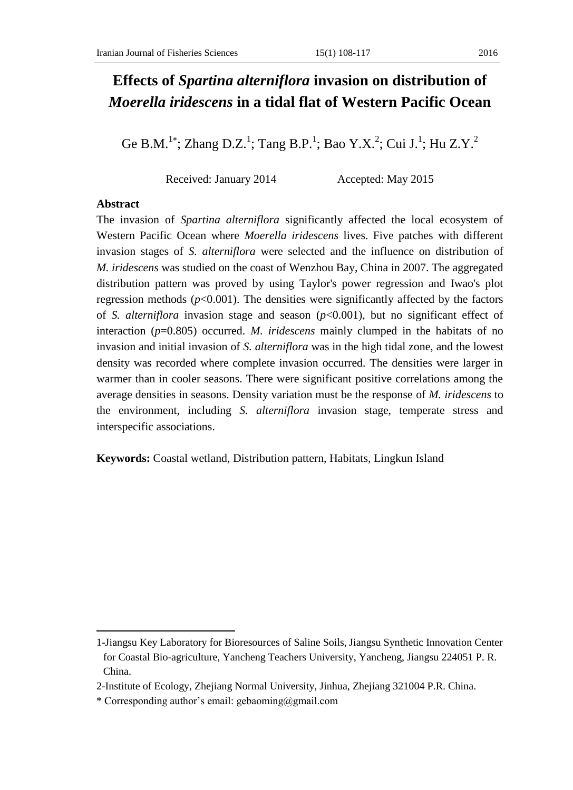# **Effects of** *Spartina alterniflora* **invasion on distribution of**  *Moerella iridescens* **in a tidal flat of Western Pacific Ocean**

Ge B.M.<sup>1\*</sup>; Zhang D.Z.<sup>1</sup>; Tang B.P.<sup>1</sup>; Bao Y.X.<sup>2</sup>; Cui J.<sup>1</sup>; Hu Z.Y.<sup>2</sup>

Received: January 2014 Accepted: May 2015

## **Abstract**

 $\overline{\phantom{a}}$ 

The invasion of *Spartina alterniflora* significantly affected the local ecosystem of Western Pacific Ocean where *Moerella iridescens* lives. Five patches with different invasion stages of *S. alterniflora* were selected and the influence on distribution of *M. iridescens* was studied on the coast of Wenzhou Bay, China in 2007. The aggregated distribution pattern was proved by using Taylor's power regression and Iwao's plot regression methods  $(p<0.001)$ . The densities were significantly affected by the factors of *S. alterniflora* invasion stage and season (*p*<0.001), but no significant effect of interaction (*p*=0.805) occurred. *M. iridescens* mainly clumped in the habitats of no invasion and initial invasion of *S. alterniflora* was in the high tidal zone, and the lowest density was recorded where complete invasion occurred. The densities were larger in warmer than in cooler seasons. There were significant positive correlations among the average densities in seasons. Density variation must be the response of *M. iridescens* to the environment, including *S. alterniflora* invasion stage, temperate stress and interspecific associations.

**Keywords:** Coastal wetland, Distribution pattern, Habitats, Lingkun Island

<sup>1-</sup>Jiangsu Key Laboratory for Bioresources of Saline Soils, Jiangsu Synthetic Innovation Center for Coastal Bio-agriculture, Yancheng Teachers University, Yancheng, Jiangsu 224051 P. R. China.

<sup>2-</sup>Institute of Ecology, Zhejiang Normal University, Jinhua, Zhejiang 321004 P.R. China.

<sup>\*</sup> Corresponding author's email: gebaoming@gmail.com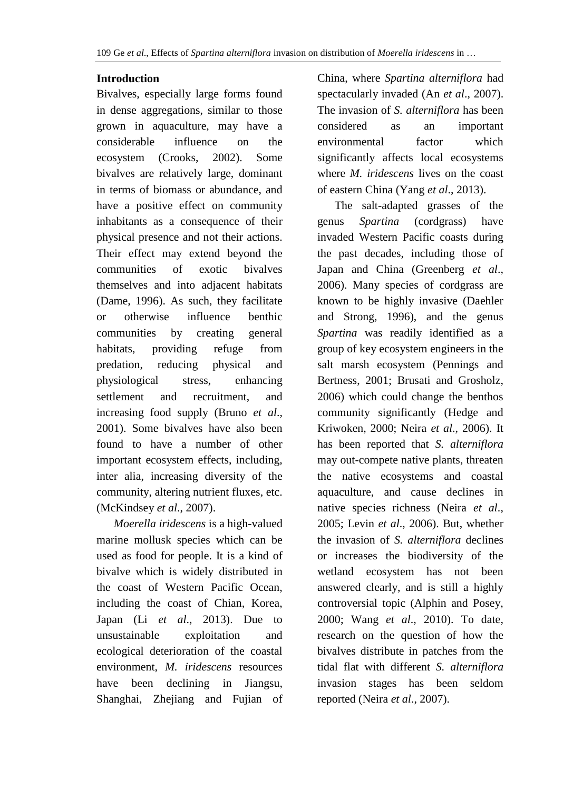# **Introduction**

Bivalves, especially large forms found in dense aggregations, similar to those grown in aquaculture, may have a considerable influence on the ecosystem (Crooks, 2002). Some bivalves are relatively large, dominant in terms of biomass or abundance, and have a positive effect on community inhabitants as a consequence of their physical presence and not their actions. Their effect may extend beyond the communities of exotic bivalves themselves and into adjacent habitats (Dame, 1996). As such, they facilitate or otherwise influence benthic communities by creating general habitats, providing refuge from predation, reducing physical and physiological stress, enhancing settlement and recruitment, and increasing food supply (Bruno *et al*., 2001). Some bivalves have also been found to have a number of other important ecosystem effects, including, inter alia, increasing diversity of the community, altering nutrient fluxes, etc. (McKindsey *et al*., 2007).

 *Moerella iridescens* is a high-valued marine mollusk species which can be used as food for people. It is a kind of bivalve which is widely distributed in the coast of Western Pacific Ocean, including the coast of Chian, Korea, Japan (Li *et al*., 2013). Due to unsustainable exploitation and ecological deterioration of the coastal environment, *M. iridescens* resources have been declining in Jiangsu, Shanghai, Zhejiang and Fujian of China, where *Spartina alterniflora* had spectacularly invaded (An *et al*., 2007). The invasion of *S. alterniflora* has been considered as an important environmental factor which significantly affects local ecosystems where *M. iridescens* lives on the coast of eastern China (Yang *et al*., 2013).

 The salt-adapted grasses of the genus *Spartina* (cordgrass) have invaded Western Pacific coasts during the past decades, including those of Japan and China (Greenberg *et al*., 2006). Many species of cordgrass are known to be highly invasive (Daehler and Strong, 1996), and the genus *Spartina* was readily identified as a group of key ecosystem engineers in the salt marsh ecosystem (Pennings and Bertness, 2001; Brusati and Grosholz, 2006) which could change the benthos community significantly (Hedge and Kriwoken, 2000; Neira *et al*., 2006). It has been reported that *S. alterniflora* may out-compete native plants, threaten the native ecosystems and coastal aquaculture, and cause declines in native species richness (Neira *et al*., 2005; Levin *et al*., 2006). But, whether the invasion of *S. alterniflora* declines or increases the biodiversity of the wetland ecosystem has not been answered clearly, and is still a highly controversial topic (Alphin and Posey, 2000; Wang *et al*., 2010). To date, research on the question of how the bivalves distribute in patches from the tidal flat with different *S. alterniflora* invasion stages has been seldom reported (Neira *et al*., 2007).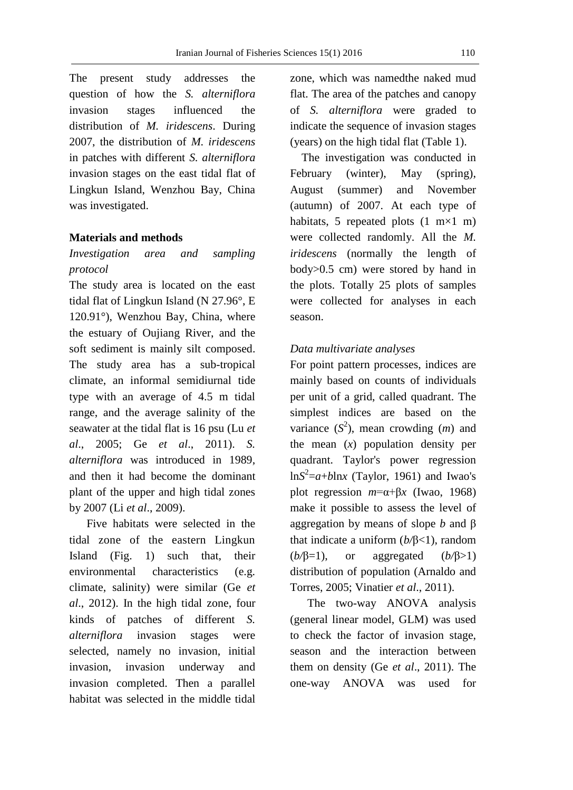The present study addresses the question of how the *S. alterniflora*  invasion stages influenced the distribution of *M. iridescens*. During 2007, the distribution of *M. iridescens* in patches with different *S. alterniflora* invasion stages on the east tidal flat of Lingkun Island, Wenzhou Bay, China was investigated.

## **Materials and methods**

# *Investigation area and sampling protocol*

The study area is located on the east tidal flat of Lingkun Island (N 27.96°, E 120.91°), Wenzhou Bay, China, where the estuary of Oujiang River, and the soft sediment is mainly silt composed. The study area has a sub-tropical climate, an informal semidiurnal tide type with an average of 4.5 m tidal range, and the average salinity of the seawater at the tidal flat is 16 psu (Lu *et al*., 2005; Ge *et al*., 2011). *S. alterniflora* was introduced in 1989, and then it had become the dominant plant of the upper and high tidal zones by 2007 (Li *et al*., 2009).

 Five habitats were selected in the tidal zone of the eastern Lingkun Island (Fig. 1) such that, their environmental characteristics (e.g. climate, salinity) were similar (Ge *et al*., 2012). In the high tidal zone, four kinds of patches of different *S. alterniflora* invasion stages were selected, namely no invasion, initial invasion, invasion underway and invasion completed. Then a parallel habitat was selected in the middle tidal zone, which was namedthe naked mud flat. The area of the patches and canopy of *S. alterniflora* were graded to indicate the sequence of invasion stages (years) on the high tidal flat (Table 1).

 The investigation was conducted in February (winter), May (spring), August (summer) and November (autumn) of 2007. At each type of habitats, 5 repeated plots  $(1 \text{ m} \times 1 \text{ m})$ were collected randomly. All the *M. iridescens* (normally the length of body>0.5 cm) were stored by hand in the plots. Totally 25 plots of samples were collected for analyses in each season.

#### *Data multivariate analyses*

For point pattern processes, indices are mainly based on counts of individuals per unit of a grid, called quadrant. The simplest indices are based on the variance  $(S^2)$ , mean crowding  $(m)$  and the mean (*x*) population density per quadrant. Taylor's power regression  $\ln S^2 = a + b \ln x$  (Taylor, 1961) and Iwao's plot regression  $m = \alpha + \beta x$  (Iwao, 1968) make it possible to assess the level of aggregation by means of slope *b* and β that indicate a uniform (*b/*β<1), random (*b/*β=1), or aggregated (*b/*β>1) distribution of population (Arnaldo and Torres, 2005; Vinatier *et al*., 2011).

 The two-way ANOVA analysis (general linear model, GLM) was used to check the factor of invasion stage, season and the interaction between them on density (Ge *et al*., 2011). The one-way ANOVA was used for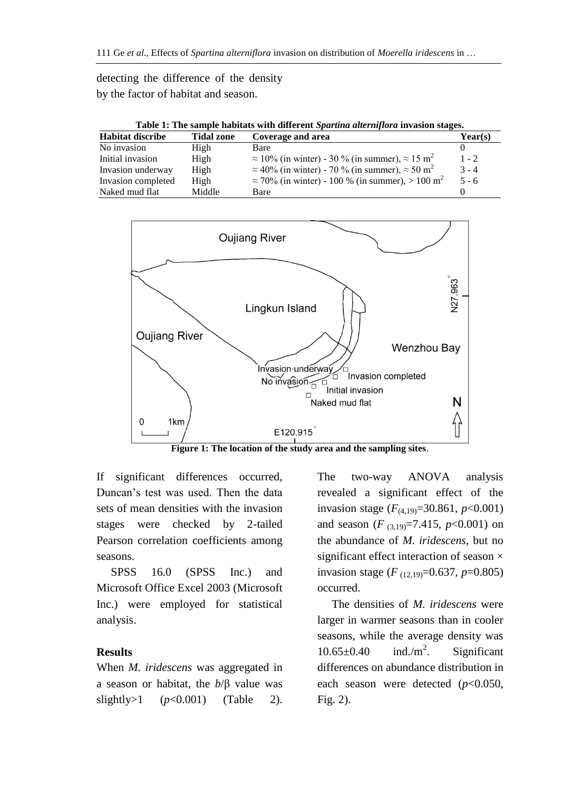# detecting the difference of the density by the factor of habitat and season.

| Table 1: The sample habitats with different Spartina alterniflora invasion stages. |                   |                                                                           |         |  |  |
|------------------------------------------------------------------------------------|-------------------|---------------------------------------------------------------------------|---------|--|--|
| <b>Habitat discribe</b>                                                            | <b>Tidal zone</b> | Coverage and area                                                         | Year(s) |  |  |
| No invasion                                                                        | High              | Bare                                                                      |         |  |  |
| Initial invasion                                                                   | High              | $\approx$ 10% (in winter) - 30 % (in summer), $\approx$ 15 m <sup>2</sup> | $1 - 2$ |  |  |
| Invasion underway                                                                  | High              | $\approx$ 40% (in winter) - 70 % (in summer), $\approx$ 50 m <sup>2</sup> | $3 - 4$ |  |  |
| Invasion completed                                                                 | High              | $\approx$ 70% (in winter) - 100 % (in summer), > 100 m <sup>2</sup>       | $5 - 6$ |  |  |
| Naked mud flat                                                                     | Middle            | Bare                                                                      |         |  |  |



**Figure 1: The location of the study area and the sampling sites**.

If significant differences occurred, Duncan's test was used. Then the data sets of mean densities with the invasion stages were checked by 2-tailed Pearson correlation coefficients among seasons.

 SPSS 16.0 (SPSS Inc.) and Microsoft Office Excel 2003 (Microsoft Inc.) were employed for statistical analysis.

## **Results**

When *M. iridescens* was aggregated in a season or habitat, the *b*/β value was slightly>1  $(p<0.001)$  (Table 2).

The two-way ANOVA analysis revealed a significant effect of the invasion stage (*F*(4,19)=30.861, *p*<0.001) and season (*F* (3,19)=7.415, *p*<0.001) on the abundance of *M. iridescens*, but no significant effect interaction of season  $\times$ invasion stage (*F* (12,19)=0.637, *p*=0.805) occurred.

 The densities of *M. iridescens* were larger in warmer seasons than in cooler seasons, while the average density was  $10.65\pm0.40$  ind./m<sup>2</sup>. . Significant differences on abundance distribution in each season were detected (*p*<0.050, Fig. 2).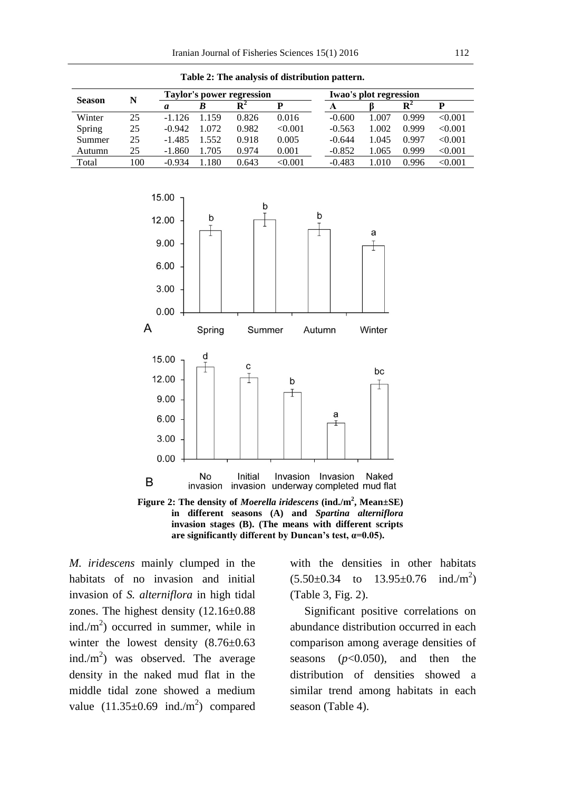|               |     | Taylor's power regression |       |                                             |         |          | Iwao's plot regression |                |         |  |
|---------------|-----|---------------------------|-------|---------------------------------------------|---------|----------|------------------------|----------------|---------|--|
| <b>Season</b> | N   | a                         | B     | $\mathbf{R}^{\scriptscriptstyle\mathsf{A}}$ | D       | A        |                        | $\mathbf{R}^2$ |         |  |
| Winter        | 25  | $-1.126$                  | 1.159 | 0.826                                       | 0.016   | $-0.600$ | 1.007                  | 0.999          | < 0.001 |  |
| Spring        | 25  | $-0.942$                  | 1.072 | 0.982                                       | < 0.001 | $-0.563$ | 1.002                  | 0.999          | < 0.001 |  |
| Summer        | 25  | $-1.485$                  | .552  | 0.918                                       | 0.005   | $-0.644$ | 1.045                  | 0.997          | < 0.001 |  |
| Autumn        | 25  | $-1.860$                  | .705  | 0.974                                       | 0.001   | $-0.852$ | 1.065                  | 0.999          | < 0.001 |  |
| Total         | 100 | $-0.934$                  | 180   | 0.643                                       | <0.001  | $-0.483$ | 1.010                  | 0.996          | < 0.001 |  |

**Table 2: The analysis of distribution pattern.**



**Figure 2: The density of** *Moerella iridescens* **(ind./m<sup>2</sup> , Mean±SE) in different seasons (A) and** *Spartina alterniflora* **invasion stages (B). (The means with different scripts are significantly different by Duncan's test, α=0.05).**

*M. iridescens* mainly clumped in the habitats of no invasion and initial invasion of *S. alterniflora* in high tidal zones. The highest density (12.16±0.88 ind./ $m<sup>2</sup>$ ) occurred in summer, while in winter the lowest density (8.76±0.63) ind./ $m<sup>2</sup>$ ) was observed. The average density in the naked mud flat in the middle tidal zone showed a medium value  $(11.35\pm0.69 \text{ ind.}/\text{m}^2)$  compared

with the densities in other habitats  $(5.50\pm0.34$  to  $13.95\pm0.76$ ind./ $m^2$ ) (Table 3, Fig. 2).

 Significant positive correlations on abundance distribution occurred in each comparison among average densities of seasons (*p*<0.050), and then the distribution of densities showed a similar trend among habitats in each season (Table 4).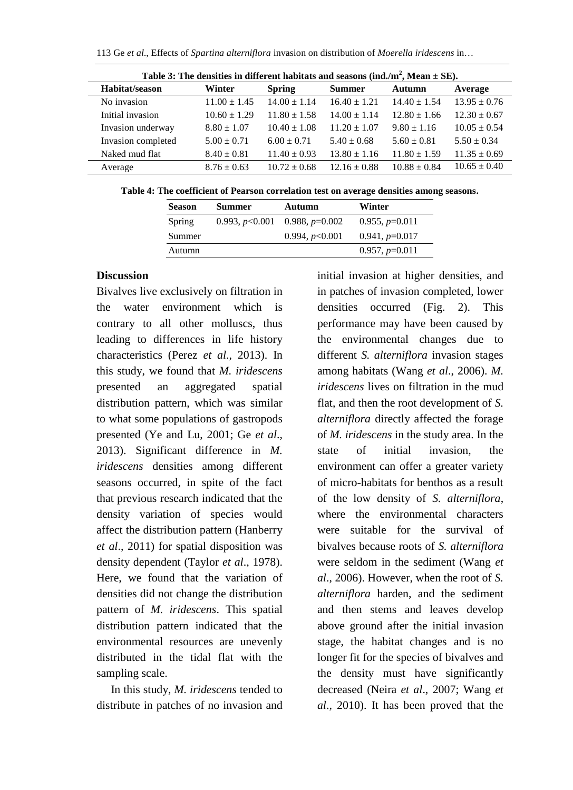| Table 3: The densities in different habitats and seasons (ind./m <sup>2</sup> , Mean $\pm$ SE). |                  |                  |                  |                  |                  |
|-------------------------------------------------------------------------------------------------|------------------|------------------|------------------|------------------|------------------|
| Habitat/season                                                                                  | Winter           | <b>Spring</b>    | <b>Summer</b>    | Autumn           | Average          |
| No invasion                                                                                     | $11.00 \pm 1.45$ | $14.00 \pm 1.14$ | $16.40 \pm 1.21$ | $14.40 \pm 1.54$ | $13.95 \pm 0.76$ |
| Initial invasion                                                                                | $10.60 \pm 1.29$ | $11.80 \pm 1.58$ | $14.00 \pm 1.14$ | $12.80 \pm 1.66$ | $12.30 \pm 0.67$ |
| Invasion underway                                                                               | $8.80 \pm 1.07$  | $10.40 \pm 1.08$ | $11.20 \pm 1.07$ | $9.80 \pm 1.16$  | $10.05 \pm 0.54$ |
| Invasion completed                                                                              | $5.00 \pm 0.71$  | $6.00 + 0.71$    | $5.40 \pm 0.68$  | $5.60 + 0.81$    | $5.50 \pm 0.34$  |
| Naked mud flat                                                                                  | $8.40 \pm 0.81$  | $11.40 \pm 0.93$ | $13.80 \pm 1.16$ | $11.80 \pm 1.59$ | $11.35 \pm 0.69$ |
| Average                                                                                         | $8.76 \pm 0.63$  | $10.72 \pm 0.68$ | $12.16 \pm 0.88$ | $10.88 \pm 0.84$ | $10.65 \pm 0.40$ |

**Table 4: The coefficient of Pearson correlation test on average densities among seasons.**

| <b>Season</b> | <b>Summer</b> | Autumn                            | Winter           |
|---------------|---------------|-----------------------------------|------------------|
| Spring        |               | 0.993, $p<0.001$ 0.988, $p=0.002$ | $0.955, p=0.011$ |
| Summer        |               | 0.994, $p<0.001$                  | $0.941, p=0.017$ |
| Autumn        |               |                                   | $0.957, p=0.011$ |

#### **Discussion**

Bivalves live exclusively on filtration in the water environment which is contrary to all other molluscs, thus leading to differences in life history characteristics (Perez *et al*., 2013). In this study, we found that *M. iridescens*  presented an aggregated spatial distribution pattern, which was similar to what some populations of gastropods presented (Ye and Lu, 2001; Ge *et al*., 2013). Significant difference in *M. iridescens* densities among different seasons occurred, in spite of the fact that previous research indicated that the density variation of species would affect the distribution pattern (Hanberry *et al*., 2011) for spatial disposition was density dependent (Taylor *et al*., 1978). Here, we found that the variation of densities did not change the distribution pattern of *M. iridescens*. This spatial distribution pattern indicated that the environmental resources are unevenly distributed in the tidal flat with the sampling scale.

 In this study, *M. iridescens* tended to distribute in patches of no invasion and initial invasion at higher densities, and in patches of invasion completed, lower densities occurred (Fig. 2). This performance may have been caused by the environmental changes due to different *S. alterniflora* invasion stages among habitats (Wang *et al*., 2006). *M. iridescens* lives on filtration in the mud flat, and then the root development of *S. alterniflora* directly affected the forage of *M. iridescens* in the study area. In the state of initial invasion, the environment can offer a greater variety of micro-habitats for benthos as a result of the low density of *S. alterniflora*, where the environmental characters were suitable for the survival of bivalves because roots of *S. alterniflora* were seldom in the sediment (Wang *et al*., 2006). However, when the root of *S. alterniflora* harden, and the sediment and then stems and leaves develop above ground after the initial invasion stage, the habitat changes and is no longer fit for the species of bivalves and the density must have significantly decreased (Neira *et al*., 2007; Wang *et al*., 2010). It has been proved that the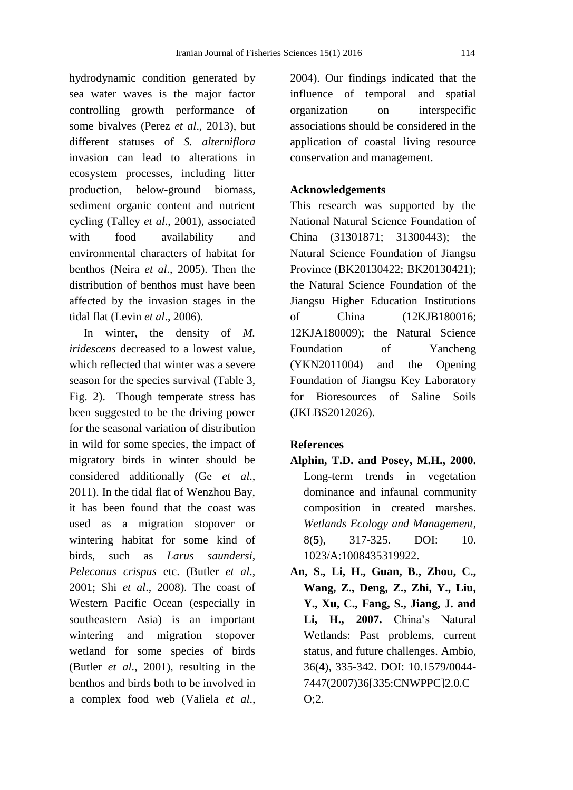hydrodynamic condition generated by sea water waves is the major factor controlling growth performance of some bivalves (Perez *et al*., 2013), but different statuses of *S. alterniflora* invasion can lead to alterations in ecosystem processes, including litter production, below-ground biomass, sediment organic content and nutrient cycling (Talley *et al*., 2001), associated with food availability and environmental characters of habitat for benthos (Neira *et al*., 2005). Then the distribution of benthos must have been affected by the invasion stages in the tidal flat (Levin *et al*., 2006).

 In winter, the density of *M. iridescens* decreased to a lowest value, which reflected that winter was a severe season for the species survival (Table 3, Fig. 2). Though temperate stress has been suggested to be the driving power for the seasonal variation of distribution in wild for some species, the impact of migratory birds in winter should be considered additionally (Ge *et al*., 2011). In the tidal flat of Wenzhou Bay, it has been found that the coast was used as a migration stopover or wintering habitat for some kind of birds, such as *Larus saundersi*, *Pelecanus crispus* etc. (Butler *et al*., 2001; Shi *et al*., 2008). The coast of Western Pacific Ocean (especially in southeastern Asia) is an important wintering and migration stopover wetland for some species of birds (Butler *et al*., 2001), resulting in the benthos and birds both to be involved in a complex food web (Valiela *et al*.,

2004). Our findings indicated that the influence of temporal and spatial organization on interspecific associations should be considered in the application of coastal living resource conservation and management.

#### **Acknowledgements**

This research was supported by the National Natural Science Foundation of China (31301871; 31300443); the Natural Science Foundation of Jiangsu Province (BK20130422; BK20130421); the Natural Science Foundation of the Jiangsu Higher Education Institutions of China (12KJB180016; 12KJA180009); the Natural Science Foundation of Yancheng (YKN2011004) and the Opening Foundation of Jiangsu Key Laboratory for Bioresources of Saline Soils (JKLBS2012026).

## **References**

- **Alphin, T.D. and Posey, M.H., 2000.** Long-term trends in vegetation dominance and infaunal community composition in created marshes. *Wetlands Ecology and Management*, 8(**5**), 317-325. DOI: 10. 1023/A:1008435319922.
- **An, S., Li, H., Guan, B., Zhou, C., Wang, Z., Deng, Z., Zhi, Y., Liu, Y., Xu, C., Fang, S., Jiang, J. and Li, H., 2007.** China's Natural Wetlands: Past problems, current status, and future challenges. Ambio, 36(**4**), 335-342. DOI: 10.1579/0044- 7447(2007)36[335:CNWPPC]2.0.C O;2.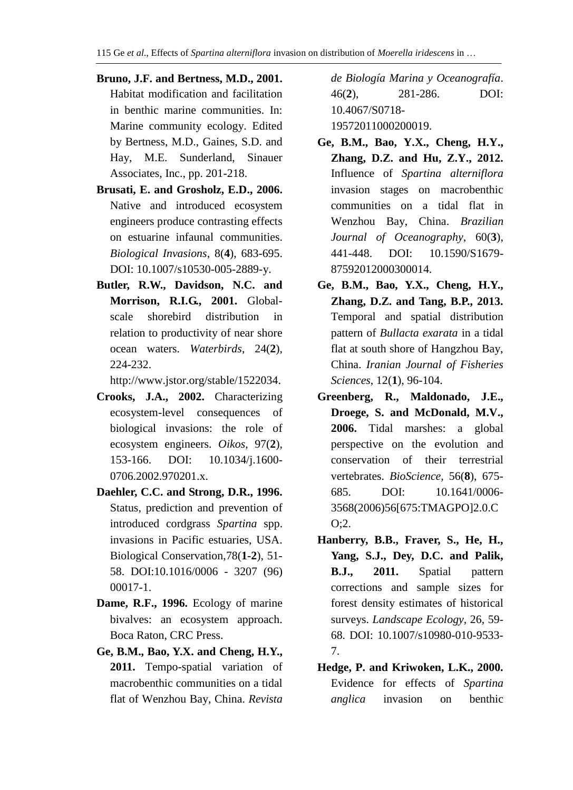- **Bruno, J.F. and Bertness, M.D., 2001.** Habitat modification and facilitation in benthic marine communities. In: Marine community ecology. Edited by Bertness, M.D., Gaines, S.D. and Hay, M.E. Sunderland, Sinauer Associates, Inc., pp. 201-218.
- **Brusati, E. and Grosholz, E.D., 2006.** Native and introduced ecosystem engineers produce contrasting effects on estuarine infaunal communities. *Biological Invasions*, 8(**4**), 683-695. DOI: 10.1007/s10530-005-2889-y.
- **Butler, R.W., Davidson, N.C. and Morrison, R.I.G., 2001.** Globalscale shorebird distribution in relation to productivity of near shore ocean waters. *Waterbirds*, 24(**2**), 224-232.

http://www.jstor.org/stable/1522034.

- **Crooks, J.A., 2002.** Characterizing ecosystem-level consequences of biological invasions: the role of ecosystem engineers. *Oikos*, 97(**2**), 153-166. DOI: 10.1034/j.1600- 0706.2002.970201.x.
- **Daehler, C.C. and Strong, D.R., 1996.** Status, prediction and prevention of introduced cordgrass *Spartina* spp. invasions in Pacific estuaries, USA. Biological Conservation,78(**1-2**), 51- 58. DOI:10.1016/0006 - 3207 (96) 00017-1.
- **Dame, R.F., 1996.** Ecology of marine bivalves: an ecosystem approach. Boca Raton, CRC Press.
- **Ge, B.M., Bao, Y.X. and Cheng, H.Y., 2011.** Tempo-spatial variation of macrobenthic communities on a tidal flat of Wenzhou Bay, China. *Revista*

*de Biología Marina y Oceanografía*. 46(**2**), 281-286. DOI: 10.4067/S0718- 19572011000200019.

- **Ge, B.M., Bao, Y.X., Cheng, H.Y., Zhang, D.Z. and Hu, Z.Y., 2012.** Influence of *Spartina alterniflora* invasion stages on macrobenthic communities on a tidal flat in Wenzhou Bay, China. *Brazilian Journal of Oceanography*, 60(**3**), 441-448. DOI: 10.1590/S1679- 87592012000300014.
- **Ge, B.M., Bao, Y.X., Cheng, H.Y., Zhang, D.Z. and Tang, B.P., 2013.** Temporal and spatial distribution pattern of *Bullacta exarata* in a tidal flat at south shore of Hangzhou Bay, China. *Iranian Journal of Fisheries Sciences*, 12(**1**), 96-104.
- **Greenberg, R., Maldonado, J.E., Droege, S. and McDonald, M.V., 2006.** Tidal marshes: a global perspective on the evolution and conservation of their terrestrial vertebrates. *BioScience,* 56(**8**), 675- 685. DOI: 10.1641/0006- 3568(2006)56[675:TMAGPO]2.0.C O;2.
- **Hanberry, B.B., Fraver, S., He, H., Yang, S.J., Dey, D.C. and Palik, B.J., 2011.** Spatial pattern corrections and sample sizes for forest density estimates of historical surveys. *Landscape Ecology*, 26, 59- 68. DOI: 10.1007/s10980-010-9533- 7.
- **Hedge, P. and Kriwoken, L.K., 2000.** Evidence for effects of *Spartina anglica* invasion on benthic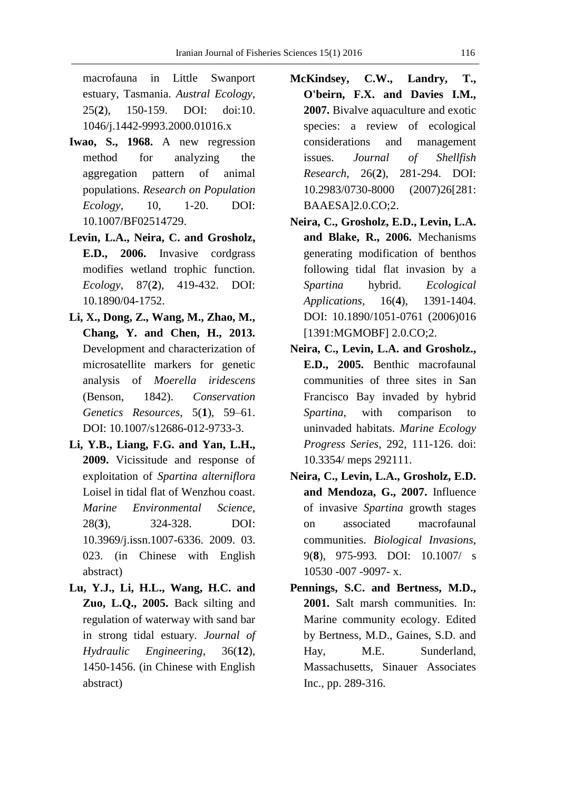macrofauna in Little Swanport estuary, Tasmania. *Austral Ecology*, 25(**2**), 150-159. DOI: doi:10. 1046/j.1442-9993.2000.01016.x

- **Iwao, S., 1968.** A new regression method for analyzing the aggregation pattern of animal populations. *Research on Population Ecology*, 10, 1-20. DOI: 10.1007/BF02514729.
- **Levin, L.A., Neira, C. and Grosholz, E.D., 2006.** Invasive cordgrass modifies wetland trophic function. *Ecology*, 87(**2**), 419-432. DOI: 10.1890/04-1752.
- **Li, X., Dong, Z., Wang, M., Zhao, M., Chang, Y. and Chen, H., 2013.** Development and characterization of microsatellite markers for genetic analysis of *Moerella iridescens* (Benson, 1842). *Conservation Genetics Resources*, 5(**1**), 59–61. DOI: 10.1007/s12686-012-9733-3.
- **Li, Y.B., Liang, F.G. and Yan, L.H., 2009.** Vicissitude and response of exploitation of *Spartina alterniflora* Loisel in tidal flat of Wenzhou coast. *Marine Environmental Science*, 28(**3**), 324-328. DOI: 10.3969/j.issn.1007-6336. 2009. 03. 023. (in Chinese with English abstract)
- **Lu, Y.J., Li, H.L., Wang, H.C. and Zuo, L.Q., 2005.** Back silting and regulation of waterway with sand bar in strong tidal estuary. *Journal of Hydraulic Engineering*, 36(**12**), 1450-1456. (in Chinese with English abstract)
- **McKindsey, C.W., Landry, T., O'beirn, F.X. and Davies I.M., 2007.** Bivalve aquaculture and exotic species: a review of ecological considerations and management issues. *Journal of Shellfish Research*, 26(**2**), 281-294. DOI: 10.2983/0730-8000 (2007)26[281: BAAESA]2.0.CO;2.
- **Neira, C., Grosholz, E.D., Levin, L.A. and Blake, R., 2006.** Mechanisms generating modification of benthos following tidal flat invasion by a *Spartina* hybrid. *Ecological Applications*, 16(**4**), 1391-1404. DOI: 10.1890/1051-0761 (2006)016 [1391:MGMOBF] 2.0.CO;2.
- **Neira, C., Levin, L.A. and Grosholz., E.D., 2005.** Benthic macrofaunal communities of three sites in San Francisco Bay invaded by hybrid *Spartina*, with comparison to uninvaded habitats. *Marine Ecology Progress Series*, 292, 111-126. doi: 10.3354/ meps 292111.
- **Neira, C., Levin, L.A., Grosholz, E.D. and Mendoza, G., 2007.** Influence of invasive *Spartina* growth stages on associated macrofaunal communities. *Biological Invasions*, 9(**8**), 975-993. DOI: 10.1007/ s 10530 -007 -9097- x.
- **Pennings, S.C. and Bertness, M.D., 2001.** Salt marsh communities. In: Marine community ecology. Edited by Bertness, M.D., Gaines, S.D. and Hay, M.E. Sunderland, Massachusetts, Sinauer Associates Inc., pp. 289-316.